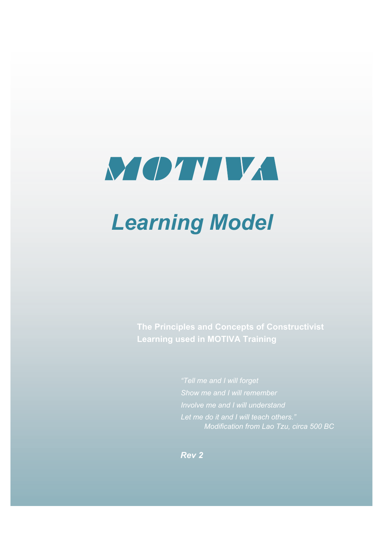

# *Learning Model*

**The Principles and Concepts of Constructivist Learning used in MOTIVA Training**

> *"Tell me and I will forget Involve me and I will understand Let me do it and I will teach others." Modification from Lao Tzu, circa 500 BC*

*Rev 2*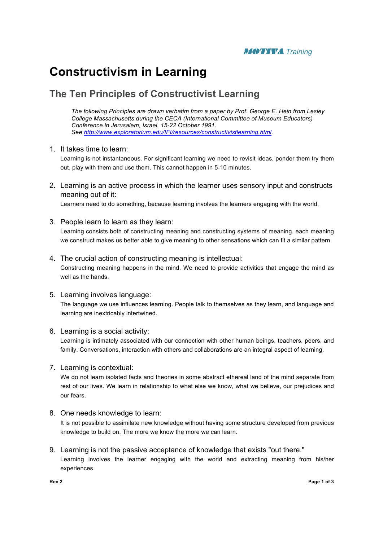

## **Constructivism in Learning**

### **The Ten Principles of Constructivist Learning**

*The following Principles are drawn verbatim from a paper by Prof. George E. Hein from Lesley College Massachusetts during the CECA (International Committee of Museum Educators) Conference in Jerusalem, Israel, 15-22 October 1991. See http://www.exploratorium.edu/IFI/resources/constructivistlearning.html.*

#### 1. It takes time to learn:

Learning is not instantaneous. For significant learning we need to revisit ideas, ponder them try them out, play with them and use them. This cannot happen in 5-10 minutes.

2. Learning is an active process in which the learner uses sensory input and constructs meaning out of it:

Learners need to do something, because learning involves the learners engaging with the world.

- 3. People learn to learn as they learn: Learning consists both of constructing meaning and constructing systems of meaning. each meaning we construct makes us better able to give meaning to other sensations which can fit a similar pattern.
- 4. The crucial action of constructing meaning is intellectual: Constructing meaning happens in the mind. We need to provide activities that engage the mind as well as the hands.
- 5. Learning involves language: The language we use influences learning. People talk to themselves as they learn, and language and learning are inextricably intertwined.
- 6. Learning is a social activity:

Learning is intimately associated with our connection with other human beings, teachers, peers, and family. Conversations, interaction with others and collaborations are an integral aspect of learning.

7. Learning is contextual:

We do not learn isolated facts and theories in some abstract ethereal land of the mind separate from rest of our lives. We learn in relationship to what else we know, what we believe, our prejudices and our fears.

- 8. One needs knowledge to learn: It is not possible to assimilate new knowledge without having some structure developed from previous knowledge to build on. The more we know the more we can learn.
- 9. Learning is not the passive acceptance of knowledge that exists "out there." Learning involves the learner engaging with the world and extracting meaning from his/her experiences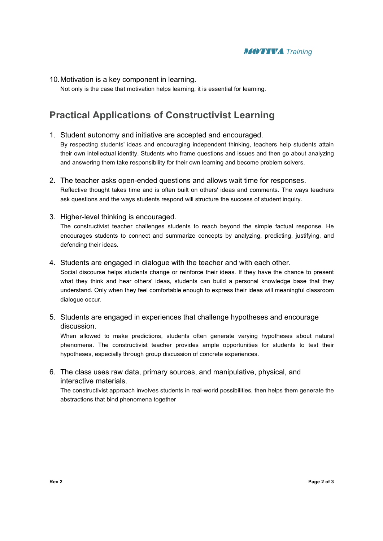

10.Motivation is a key component in learning.

Not only is the case that motivation helps learning, it is essential for learning.

## **Practical Applications of Constructivist Learning**

1. Student autonomy and initiative are accepted and encouraged. By respecting students' ideas and encouraging independent thinking, teachers help students attain their own intellectual identity. Students who frame questions and issues and then go about analyzing

and answering them take responsibility for their own learning and become problem solvers.

- 2. The teacher asks open-ended questions and allows wait time for responses. Reflective thought takes time and is often built on others' ideas and comments. The ways teachers ask questions and the ways students respond will structure the success of student inquiry.
- 3. Higher-level thinking is encouraged. The constructivist teacher challenges students to reach beyond the simple factual response. He encourages students to connect and summarize concepts by analyzing, predicting, justifying, and defending their ideas.
- 4. Students are engaged in dialogue with the teacher and with each other.

Social discourse helps students change or reinforce their ideas. If they have the chance to present what they think and hear others' ideas, students can build a personal knowledge base that they understand. Only when they feel comfortable enough to express their ideas will meaningful classroom dialogue occur.

5. Students are engaged in experiences that challenge hypotheses and encourage discussion.

When allowed to make predictions, students often generate varying hypotheses about natural phenomena. The constructivist teacher provides ample opportunities for students to test their hypotheses, especially through group discussion of concrete experiences.

6. The class uses raw data, primary sources, and manipulative, physical, and interactive materials.

The constructivist approach involves students in real-world possibilities, then helps them generate the abstractions that bind phenomena together